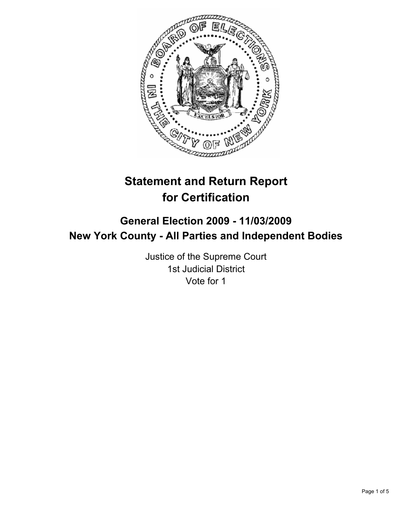

# **Statement and Return Report for Certification**

## **General Election 2009 - 11/03/2009 New York County - All Parties and Independent Bodies**

Justice of the Supreme Court 1st Judicial District Vote for 1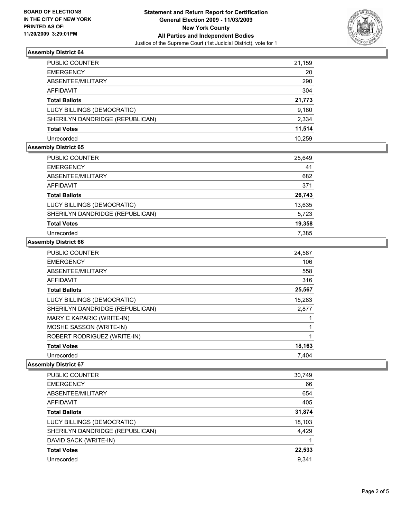

## **Assembly District 64**

| PUBLIC COUNTER                  | 21,159 |
|---------------------------------|--------|
| <b>EMERGENCY</b>                | 20     |
| ABSENTEE/MILITARY               | 290    |
| <b>AFFIDAVIT</b>                | 304    |
| <b>Total Ballots</b>            | 21,773 |
| LUCY BILLINGS (DEMOCRATIC)      | 9,180  |
| SHERILYN DANDRIDGE (REPUBLICAN) | 2,334  |
| <b>Total Votes</b>              | 11,514 |
| Unrecorded                      | 10.259 |

### **Assembly District 65**

| PUBLIC COUNTER                  | 25,649 |
|---------------------------------|--------|
| <b>EMERGENCY</b>                | 41     |
| ABSENTEE/MILITARY               | 682    |
| AFFIDAVIT                       | 371    |
| <b>Total Ballots</b>            | 26,743 |
| LUCY BILLINGS (DEMOCRATIC)      | 13,635 |
| SHERILYN DANDRIDGE (REPUBLICAN) | 5,723  |
| <b>Total Votes</b>              | 19,358 |
| Unrecorded                      | 7,385  |

#### **Assembly District 66**

| <b>PUBLIC COUNTER</b>           | 24,587 |
|---------------------------------|--------|
| <b>EMERGENCY</b>                | 106    |
| ABSENTEE/MILITARY               | 558    |
| <b>AFFIDAVIT</b>                | 316    |
| <b>Total Ballots</b>            | 25,567 |
| LUCY BILLINGS (DEMOCRATIC)      | 15,283 |
| SHERILYN DANDRIDGE (REPUBLICAN) | 2,877  |
| MARY C KAPARIC (WRITE-IN)       |        |
| MOSHE SASSON (WRITE-IN)         |        |
| ROBERT RODRIGUEZ (WRITE-IN)     | 1      |
| <b>Total Votes</b>              | 18,163 |
| Unrecorded                      | 7,404  |

#### **Assembly District 67**

| PUBLIC COUNTER                  | 30,749 |
|---------------------------------|--------|
| <b>EMERGENCY</b>                | 66     |
| ABSENTEE/MILITARY               | 654    |
| AFFIDAVIT                       | 405    |
| <b>Total Ballots</b>            | 31,874 |
| LUCY BILLINGS (DEMOCRATIC)      | 18,103 |
| SHERILYN DANDRIDGE (REPUBLICAN) | 4,429  |
| DAVID SACK (WRITE-IN)           |        |
| <b>Total Votes</b>              | 22,533 |
| Unrecorded                      | 9,341  |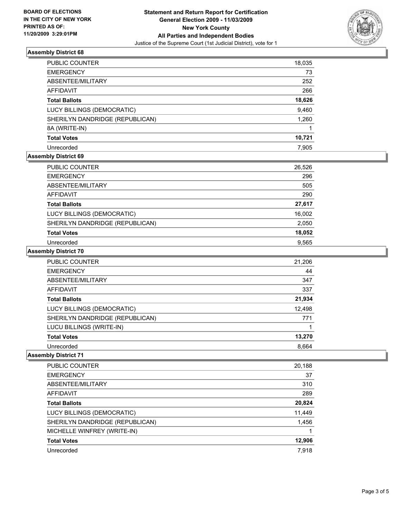

#### **Assembly District 68**

| PUBLIC COUNTER                  | 18,035 |
|---------------------------------|--------|
| <b>EMERGENCY</b>                | 73     |
| ABSENTEE/MILITARY               | 252    |
| AFFIDAVIT                       | 266    |
| <b>Total Ballots</b>            | 18,626 |
| LUCY BILLINGS (DEMOCRATIC)      | 9,460  |
| SHERILYN DANDRIDGE (REPUBLICAN) | 1,260  |
| 8A (WRITE-IN)                   |        |
| <b>Total Votes</b>              | 10,721 |
| Unrecorded                      | 7.905  |

## **Assembly District 69**

| <b>PUBLIC COUNTER</b>           | 26,526 |
|---------------------------------|--------|
| <b>EMERGENCY</b>                | 296    |
| ABSENTEE/MILITARY               | 505    |
| AFFIDAVIT                       | 290    |
| <b>Total Ballots</b>            | 27,617 |
| LUCY BILLINGS (DEMOCRATIC)      | 16,002 |
| SHERILYN DANDRIDGE (REPUBLICAN) | 2,050  |
| <b>Total Votes</b>              | 18,052 |
| Unrecorded                      | 9.565  |

## **Assembly District 70**

| PUBLIC COUNTER                  | 21,206 |
|---------------------------------|--------|
| <b>EMERGENCY</b>                | 44     |
| ABSENTEE/MILITARY               | 347    |
| <b>AFFIDAVIT</b>                | 337    |
| <b>Total Ballots</b>            | 21,934 |
| LUCY BILLINGS (DEMOCRATIC)      | 12,498 |
| SHERILYN DANDRIDGE (REPUBLICAN) | 771    |
| LUCU BILLINGS (WRITE-IN)        |        |
| <b>Total Votes</b>              | 13,270 |
| Unrecorded                      | 8.664  |

### **Assembly District 71**

| PUBLIC COUNTER                  | 20,188 |
|---------------------------------|--------|
| <b>EMERGENCY</b>                | 37     |
| ABSENTEE/MILITARY               | 310    |
| AFFIDAVIT                       | 289    |
| <b>Total Ballots</b>            | 20,824 |
| LUCY BILLINGS (DEMOCRATIC)      | 11,449 |
| SHERILYN DANDRIDGE (REPUBLICAN) | 1,456  |
| MICHELLE WINFREY (WRITE-IN)     |        |
| <b>Total Votes</b>              | 12,906 |
| Unrecorded                      | 7.918  |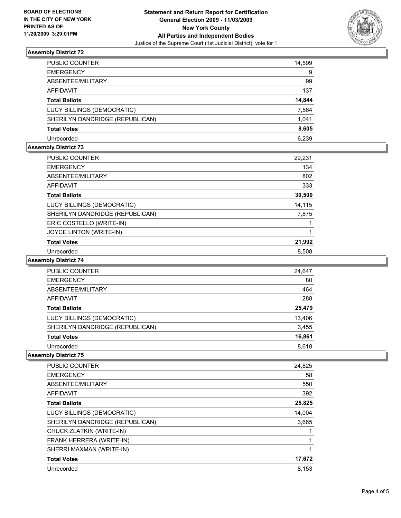

## **Assembly District 72**

| PUBLIC COUNTER                  | 14,599 |
|---------------------------------|--------|
| <b>EMERGENCY</b>                | 9      |
| ABSENTEE/MILITARY               | 99     |
| <b>AFFIDAVIT</b>                | 137    |
| <b>Total Ballots</b>            | 14,844 |
| LUCY BILLINGS (DEMOCRATIC)      | 7,564  |
| SHERILYN DANDRIDGE (REPUBLICAN) | 1,041  |
| <b>Total Votes</b>              | 8,605  |
| Unrecorded                      | 6.239  |

## **Assembly District 73**

| <b>PUBLIC COUNTER</b>           | 29,231 |
|---------------------------------|--------|
| <b>EMERGENCY</b>                | 134    |
| ABSENTEE/MILITARY               | 802    |
| <b>AFFIDAVIT</b>                | 333    |
| <b>Total Ballots</b>            | 30,500 |
| LUCY BILLINGS (DEMOCRATIC)      | 14,115 |
| SHERILYN DANDRIDGE (REPUBLICAN) | 7,875  |
| ERIC COSTELLO (WRITE-IN)        |        |
| JOYCE LINTON (WRITE-IN)         |        |
| <b>Total Votes</b>              | 21,992 |
| Unrecorded                      | 8.508  |

### **Assembly District 74**

| 24,647 |
|--------|
| 80     |
| 464    |
| 288    |
| 25,479 |
| 13,406 |
| 3,455  |
| 16,861 |
| 8.618  |
|        |

## **Assembly District 75**

| <b>PUBLIC COUNTER</b>           | 24,825 |
|---------------------------------|--------|
| <b>EMERGENCY</b>                | 58     |
| ABSENTEE/MILITARY               | 550    |
| <b>AFFIDAVIT</b>                | 392    |
| <b>Total Ballots</b>            | 25,825 |
| LUCY BILLINGS (DEMOCRATIC)      | 14,004 |
| SHERILYN DANDRIDGE (REPUBLICAN) | 3,665  |
| CHUCK ZLATKIN (WRITE-IN)        |        |
| FRANK HERRERA (WRITE-IN)        |        |
| SHERRI MAXMAN (WRITE-IN)        |        |
| <b>Total Votes</b>              | 17,672 |
| Unrecorded                      | 8.153  |